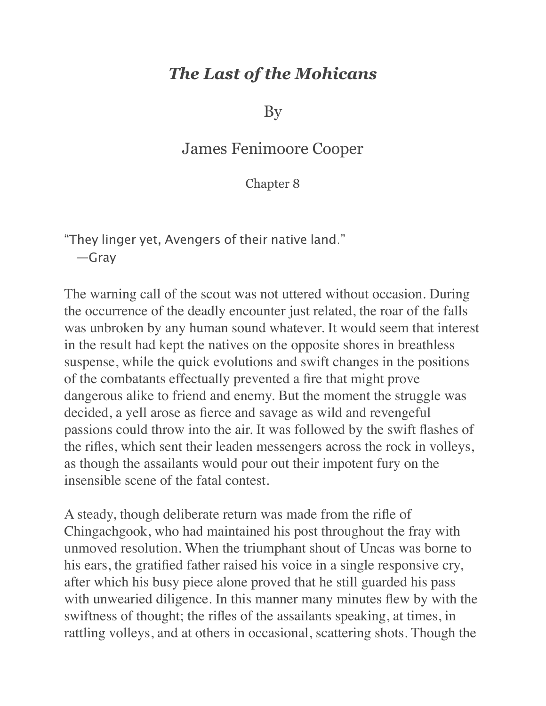## *The Last of the Mohicans*

By

## James Fenimoore Cooper

## Chapter 8

"They linger yet, Avengers of their native land." —Gray

The warning call of the scout was not uttered without occasion. During the occurrence of the deadly encounter just related, the roar of the falls was unbroken by any human sound whatever. It would seem that interest in the result had kept the natives on the opposite shores in breathless suspense, while the quick evolutions and swift changes in the positions of the combatants effectually prevented a fire that might prove dangerous alike to friend and enemy. But the moment the struggle was decided, a yell arose as fierce and savage as wild and revengeful passions could throw into the air. It was followed by the swift flashes of the rifles, which sent their leaden messengers across the rock in volleys, as though the assailants would pour out their impotent fury on the insensible scene of the fatal contest.

A steady, though deliberate return was made from the rifle of Chingachgook, who had maintained his post throughout the fray with unmoved resolution. When the triumphant shout of Uncas was borne to his ears, the gratified father raised his voice in a single responsive cry, after which his busy piece alone proved that he still guarded his pass with unwearied diligence. In this manner many minutes flew by with the swiftness of thought; the rifles of the assailants speaking, at times, in rattling volleys, and at others in occasional, scattering shots. Though the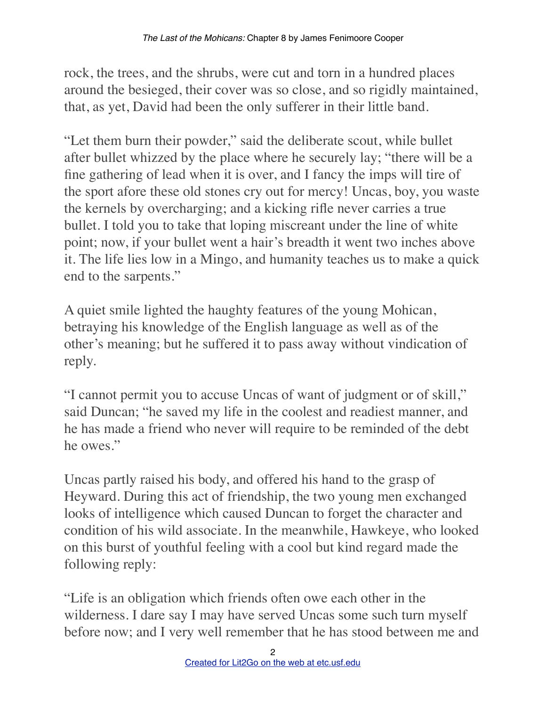rock, the trees, and the shrubs, were cut and torn in a hundred places around the besieged, their cover was so close, and so rigidly maintained, that, as yet, David had been the only sufferer in their little band.

"Let them burn their powder," said the deliberate scout, while bullet after bullet whizzed by the place where he securely lay; "there will be a fine gathering of lead when it is over, and I fancy the imps will tire of the sport afore these old stones cry out for mercy! Uncas, boy, you waste the kernels by overcharging; and a kicking rifle never carries a true bullet. I told you to take that loping miscreant under the line of white point; now, if your bullet went a hair's breadth it went two inches above it. The life lies low in a Mingo, and humanity teaches us to make a quick end to the sarpents."

A quiet smile lighted the haughty features of the young Mohican, betraying his knowledge of the English language as well as of the other's meaning; but he suffered it to pass away without vindication of reply.

"I cannot permit you to accuse Uncas of want of judgment or of skill," said Duncan; "he saved my life in the coolest and readiest manner, and he has made a friend who never will require to be reminded of the debt he owes."

Uncas partly raised his body, and offered his hand to the grasp of Heyward. During this act of friendship, the two young men exchanged looks of intelligence which caused Duncan to forget the character and condition of his wild associate. In the meanwhile, Hawkeye, who looked on this burst of youthful feeling with a cool but kind regard made the following reply:

"Life is an obligation which friends often owe each other in the wilderness. I dare say I may have served Uncas some such turn myself before now; and I very well remember that he has stood between me and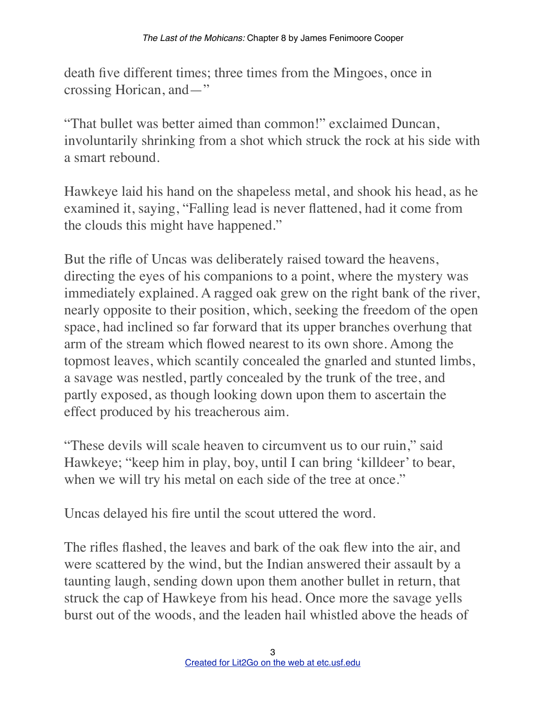death five different times; three times from the Mingoes, once in crossing Horican, and—"

"That bullet was better aimed than common!" exclaimed Duncan, involuntarily shrinking from a shot which struck the rock at his side with a smart rebound.

Hawkeye laid his hand on the shapeless metal, and shook his head, as he examined it, saying, "Falling lead is never flattened, had it come from the clouds this might have happened."

But the rifle of Uncas was deliberately raised toward the heavens, directing the eyes of his companions to a point, where the mystery was immediately explained. A ragged oak grew on the right bank of the river, nearly opposite to their position, which, seeking the freedom of the open space, had inclined so far forward that its upper branches overhung that arm of the stream which flowed nearest to its own shore. Among the topmost leaves, which scantily concealed the gnarled and stunted limbs, a savage was nestled, partly concealed by the trunk of the tree, and partly exposed, as though looking down upon them to ascertain the effect produced by his treacherous aim.

"These devils will scale heaven to circumvent us to our ruin," said Hawkeye; "keep him in play, boy, until I can bring 'killdeer' to bear, when we will try his metal on each side of the tree at once."

Uncas delayed his fire until the scout uttered the word.

The rifles flashed, the leaves and bark of the oak flew into the air, and were scattered by the wind, but the Indian answered their assault by a taunting laugh, sending down upon them another bullet in return, that struck the cap of Hawkeye from his head. Once more the savage yells burst out of the woods, and the leaden hail whistled above the heads of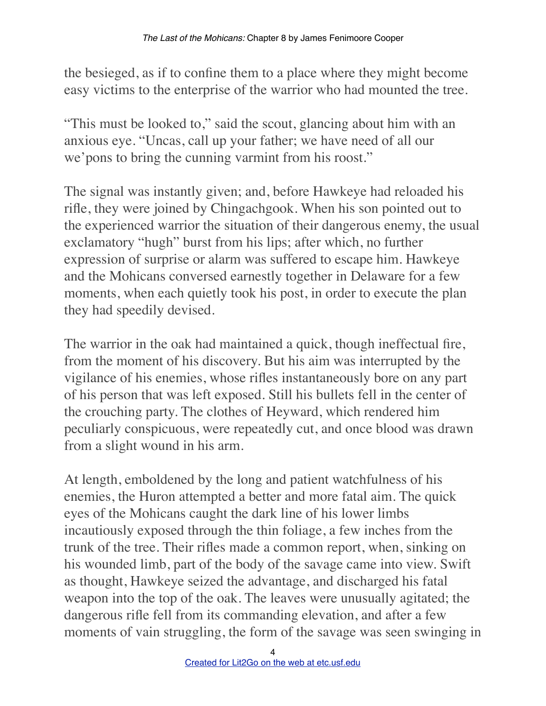the besieged, as if to confine them to a place where they might become easy victims to the enterprise of the warrior who had mounted the tree.

"This must be looked to," said the scout, glancing about him with an anxious eye. "Uncas, call up your father; we have need of all our we'pons to bring the cunning varmint from his roost."

The signal was instantly given; and, before Hawkeye had reloaded his rifle, they were joined by Chingachgook. When his son pointed out to the experienced warrior the situation of their dangerous enemy, the usual exclamatory "hugh" burst from his lips; after which, no further expression of surprise or alarm was suffered to escape him. Hawkeye and the Mohicans conversed earnestly together in Delaware for a few moments, when each quietly took his post, in order to execute the plan they had speedily devised.

The warrior in the oak had maintained a quick, though ineffectual fire, from the moment of his discovery. But his aim was interrupted by the vigilance of his enemies, whose rifles instantaneously bore on any part of his person that was left exposed. Still his bullets fell in the center of the crouching party. The clothes of Heyward, which rendered him peculiarly conspicuous, were repeatedly cut, and once blood was drawn from a slight wound in his arm.

At length, emboldened by the long and patient watchfulness of his enemies, the Huron attempted a better and more fatal aim. The quick eyes of the Mohicans caught the dark line of his lower limbs incautiously exposed through the thin foliage, a few inches from the trunk of the tree. Their rifles made a common report, when, sinking on his wounded limb, part of the body of the savage came into view. Swift as thought, Hawkeye seized the advantage, and discharged his fatal weapon into the top of the oak. The leaves were unusually agitated; the dangerous rifle fell from its commanding elevation, and after a few moments of vain struggling, the form of the savage was seen swinging in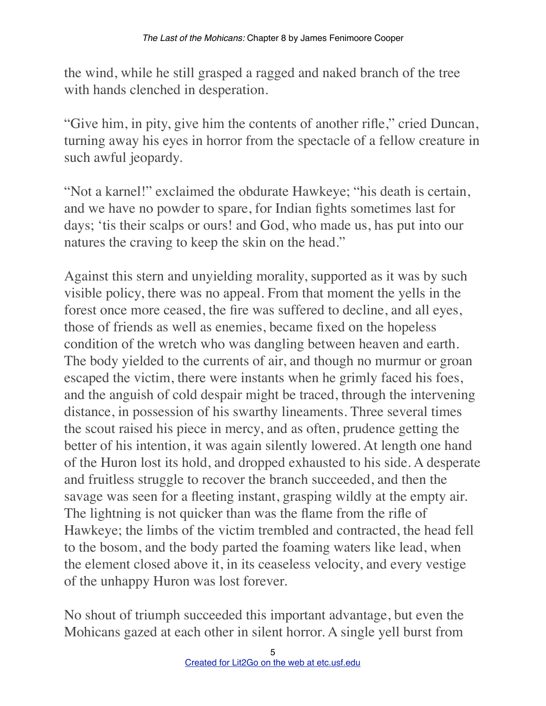the wind, while he still grasped a ragged and naked branch of the tree with hands clenched in desperation.

"Give him, in pity, give him the contents of another rifle," cried Duncan, turning away his eyes in horror from the spectacle of a fellow creature in such awful jeopardy.

"Not a karnel!" exclaimed the obdurate Hawkeye; "his death is certain, and we have no powder to spare, for Indian fights sometimes last for days; 'tis their scalps or ours! and God, who made us, has put into our natures the craving to keep the skin on the head."

Against this stern and unyielding morality, supported as it was by such visible policy, there was no appeal. From that moment the yells in the forest once more ceased, the fire was suffered to decline, and all eyes, those of friends as well as enemies, became fixed on the hopeless condition of the wretch who was dangling between heaven and earth. The body yielded to the currents of air, and though no murmur or groan escaped the victim, there were instants when he grimly faced his foes, and the anguish of cold despair might be traced, through the intervening distance, in possession of his swarthy lineaments. Three several times the scout raised his piece in mercy, and as often, prudence getting the better of his intention, it was again silently lowered. At length one hand of the Huron lost its hold, and dropped exhausted to his side. A desperate and fruitless struggle to recover the branch succeeded, and then the savage was seen for a fleeting instant, grasping wildly at the empty air. The lightning is not quicker than was the flame from the rifle of Hawkeye; the limbs of the victim trembled and contracted, the head fell to the bosom, and the body parted the foaming waters like lead, when the element closed above it, in its ceaseless velocity, and every vestige of the unhappy Huron was lost forever.

No shout of triumph succeeded this important advantage, but even the Mohicans gazed at each other in silent horror. A single yell burst from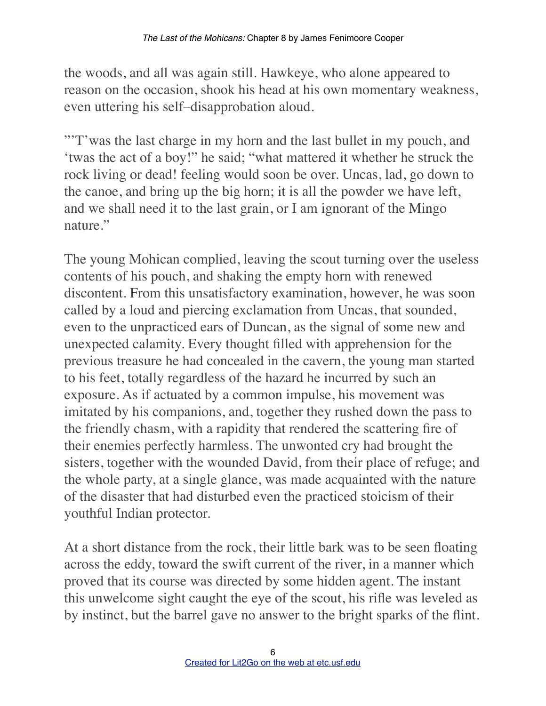the woods, and all was again still. Hawkeye, who alone appeared to reason on the occasion, shook his head at his own momentary weakness, even uttering his self–disapprobation aloud.

"'T'was the last charge in my horn and the last bullet in my pouch, and 'twas the act of a boy!" he said; "what mattered it whether he struck the rock living or dead! feeling would soon be over. Uncas, lad, go down to the canoe, and bring up the big horn; it is all the powder we have left, and we shall need it to the last grain, or I am ignorant of the Mingo nature."

The young Mohican complied, leaving the scout turning over the useless contents of his pouch, and shaking the empty horn with renewed discontent. From this unsatisfactory examination, however, he was soon called by a loud and piercing exclamation from Uncas, that sounded, even to the unpracticed ears of Duncan, as the signal of some new and unexpected calamity. Every thought filled with apprehension for the previous treasure he had concealed in the cavern, the young man started to his feet, totally regardless of the hazard he incurred by such an exposure. As if actuated by a common impulse, his movement was imitated by his companions, and, together they rushed down the pass to the friendly chasm, with a rapidity that rendered the scattering fire of their enemies perfectly harmless. The unwonted cry had brought the sisters, together with the wounded David, from their place of refuge; and the whole party, at a single glance, was made acquainted with the nature of the disaster that had disturbed even the practiced stoicism of their youthful Indian protector.

At a short distance from the rock, their little bark was to be seen floating across the eddy, toward the swift current of the river, in a manner which proved that its course was directed by some hidden agent. The instant this unwelcome sight caught the eye of the scout, his rifle was leveled as by instinct, but the barrel gave no answer to the bright sparks of the flint.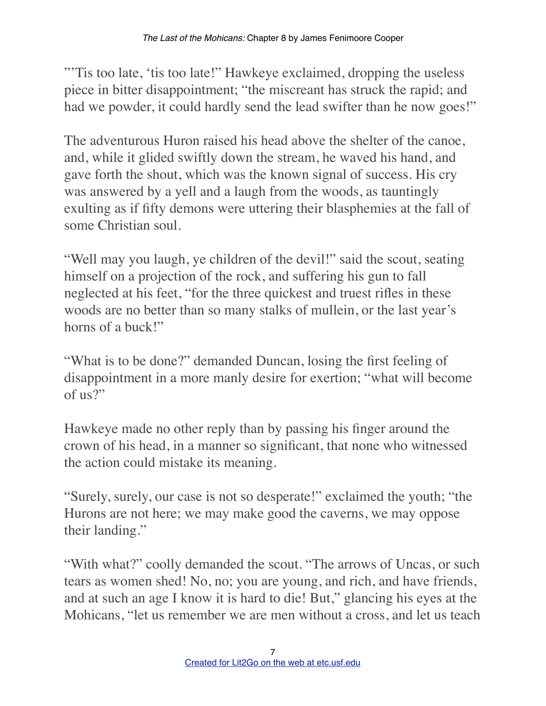"'Tis too late, 'tis too late!" Hawkeye exclaimed, dropping the useless piece in bitter disappointment; "the miscreant has struck the rapid; and had we powder, it could hardly send the lead swifter than he now goes!"

The adventurous Huron raised his head above the shelter of the canoe, and, while it glided swiftly down the stream, he waved his hand, and gave forth the shout, which was the known signal of success. His cry was answered by a yell and a laugh from the woods, as tauntingly exulting as if fifty demons were uttering their blasphemies at the fall of some Christian soul.

"Well may you laugh, ye children of the devil!" said the scout, seating himself on a projection of the rock, and suffering his gun to fall neglected at his feet, "for the three quickest and truest rifles in these woods are no better than so many stalks of mullein, or the last year's horns of a buck!"

"What is to be done?" demanded Duncan, losing the first feeling of disappointment in a more manly desire for exertion; "what will become of  $\mu$ s?"

Hawkeye made no other reply than by passing his finger around the crown of his head, in a manner so significant, that none who witnessed the action could mistake its meaning.

"Surely, surely, our case is not so desperate!" exclaimed the youth; "the Hurons are not here; we may make good the caverns, we may oppose their landing."

"With what?" coolly demanded the scout. "The arrows of Uncas, or such tears as women shed! No, no; you are young, and rich, and have friends, and at such an age I know it is hard to die! But," glancing his eyes at the Mohicans, "let us remember we are men without a cross, and let us teach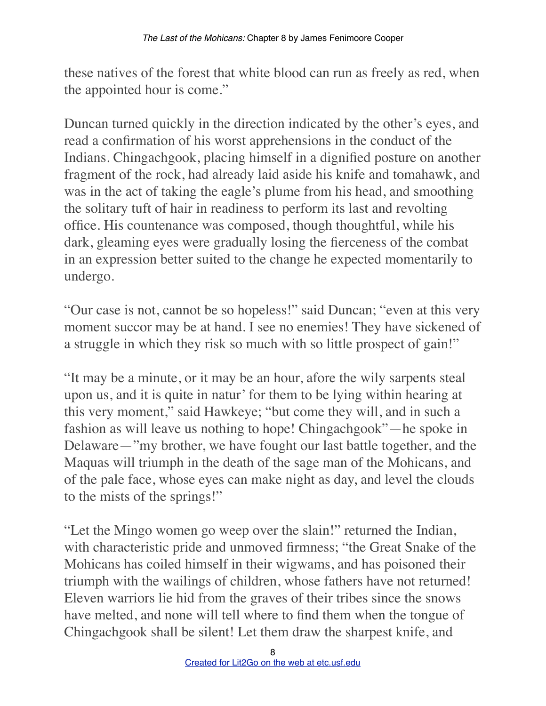these natives of the forest that white blood can run as freely as red, when the appointed hour is come."

Duncan turned quickly in the direction indicated by the other's eyes, and read a confirmation of his worst apprehensions in the conduct of the Indians. Chingachgook, placing himself in a dignified posture on another fragment of the rock, had already laid aside his knife and tomahawk, and was in the act of taking the eagle's plume from his head, and smoothing the solitary tuft of hair in readiness to perform its last and revolting office. His countenance was composed, though thoughtful, while his dark, gleaming eyes were gradually losing the fierceness of the combat in an expression better suited to the change he expected momentarily to undergo.

"Our case is not, cannot be so hopeless!" said Duncan; "even at this very moment succor may be at hand. I see no enemies! They have sickened of a struggle in which they risk so much with so little prospect of gain!"

"It may be a minute, or it may be an hour, afore the wily sarpents steal upon us, and it is quite in natur' for them to be lying within hearing at this very moment," said Hawkeye; "but come they will, and in such a fashion as will leave us nothing to hope! Chingachgook"—he spoke in Delaware—"my brother, we have fought our last battle together, and the Maquas will triumph in the death of the sage man of the Mohicans, and of the pale face, whose eyes can make night as day, and level the clouds to the mists of the springs!"

"Let the Mingo women go weep over the slain!" returned the Indian, with characteristic pride and unmoved firmness; "the Great Snake of the Mohicans has coiled himself in their wigwams, and has poisoned their triumph with the wailings of children, whose fathers have not returned! Eleven warriors lie hid from the graves of their tribes since the snows have melted, and none will tell where to find them when the tongue of Chingachgook shall be silent! Let them draw the sharpest knife, and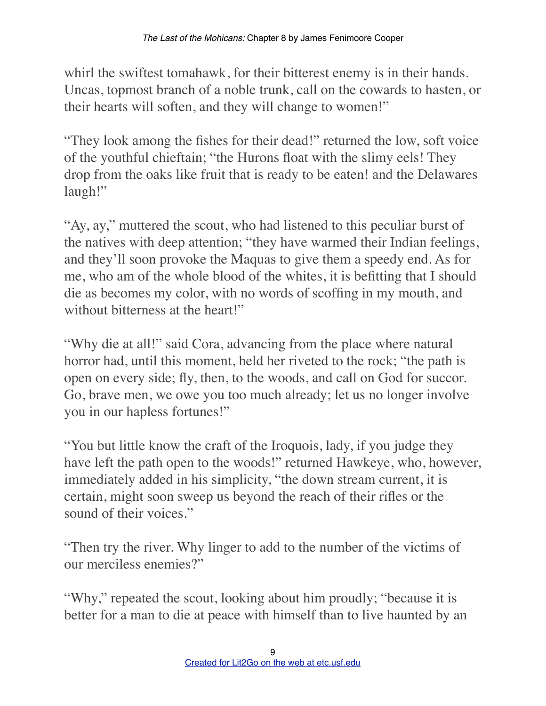whirl the swiftest tomahawk, for their bitterest enemy is in their hands. Uncas, topmost branch of a noble trunk, call on the cowards to hasten, or their hearts will soften, and they will change to women!"

"They look among the fishes for their dead!" returned the low, soft voice of the youthful chieftain; "the Hurons float with the slimy eels! They drop from the oaks like fruit that is ready to be eaten! and the Delawares laugh!"

"Ay, ay," muttered the scout, who had listened to this peculiar burst of the natives with deep attention; "they have warmed their Indian feelings, and they'll soon provoke the Maquas to give them a speedy end. As for me, who am of the whole blood of the whites, it is befitting that I should die as becomes my color, with no words of scoffing in my mouth, and without bitterness at the heart!"

"Why die at all!" said Cora, advancing from the place where natural horror had, until this moment, held her riveted to the rock; "the path is open on every side; fly, then, to the woods, and call on God for succor. Go, brave men, we owe you too much already; let us no longer involve you in our hapless fortunes!"

"You but little know the craft of the Iroquois, lady, if you judge they have left the path open to the woods!" returned Hawkeye, who, however, immediately added in his simplicity, "the down stream current, it is certain, might soon sweep us beyond the reach of their rifles or the sound of their voices."

"Then try the river. Why linger to add to the number of the victims of our merciless enemies?"

"Why," repeated the scout, looking about him proudly; "because it is better for a man to die at peace with himself than to live haunted by an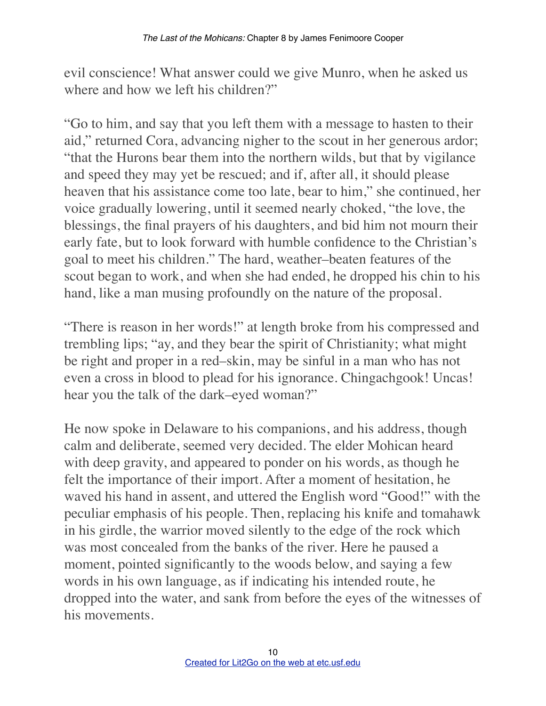evil conscience! What answer could we give Munro, when he asked us where and how we left his children?"

"Go to him, and say that you left them with a message to hasten to their aid," returned Cora, advancing nigher to the scout in her generous ardor; "that the Hurons bear them into the northern wilds, but that by vigilance and speed they may yet be rescued; and if, after all, it should please heaven that his assistance come too late, bear to him," she continued, her voice gradually lowering, until it seemed nearly choked, "the love, the blessings, the final prayers of his daughters, and bid him not mourn their early fate, but to look forward with humble confidence to the Christian's goal to meet his children." The hard, weather–beaten features of the scout began to work, and when she had ended, he dropped his chin to his hand, like a man musing profoundly on the nature of the proposal.

"There is reason in her words!" at length broke from his compressed and trembling lips; "ay, and they bear the spirit of Christianity; what might be right and proper in a red–skin, may be sinful in a man who has not even a cross in blood to plead for his ignorance. Chingachgook! Uncas! hear you the talk of the dark–eyed woman?"

He now spoke in Delaware to his companions, and his address, though calm and deliberate, seemed very decided. The elder Mohican heard with deep gravity, and appeared to ponder on his words, as though he felt the importance of their import. After a moment of hesitation, he waved his hand in assent, and uttered the English word "Good!" with the peculiar emphasis of his people. Then, replacing his knife and tomahawk in his girdle, the warrior moved silently to the edge of the rock which was most concealed from the banks of the river. Here he paused a moment, pointed significantly to the woods below, and saying a few words in his own language, as if indicating his intended route, he dropped into the water, and sank from before the eyes of the witnesses of his movements.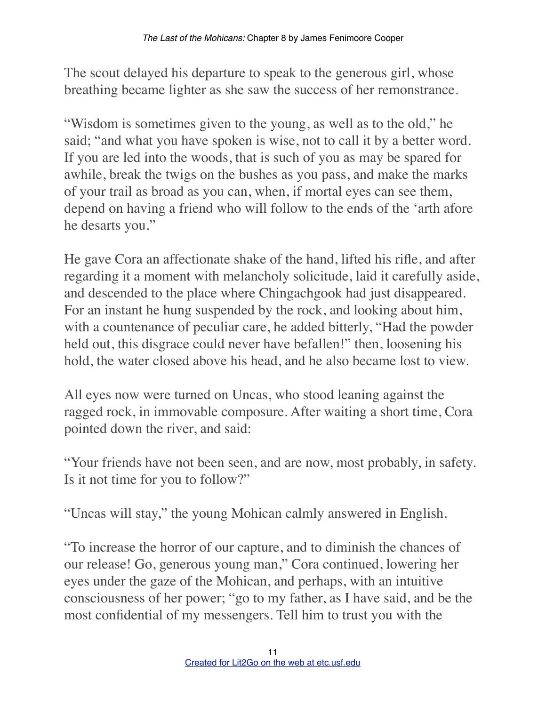The scout delayed his departure to speak to the generous girl, whose breathing became lighter as she saw the success of her remonstrance.

"Wisdom is sometimes given to the young, as well as to the old," he said; "and what you have spoken is wise, not to call it by a better word. If you are led into the woods, that is such of you as may be spared for awhile, break the twigs on the bushes as you pass, and make the marks of your trail as broad as you can, when, if mortal eyes can see them, depend on having a friend who will follow to the ends of the 'arth afore he desarts you."

He gave Cora an affectionate shake of the hand, lifted his rifle, and after regarding it a moment with melancholy solicitude, laid it carefully aside, and descended to the place where Chingachgook had just disappeared. For an instant he hung suspended by the rock, and looking about him, with a countenance of peculiar care, he added bitterly, "Had the powder held out, this disgrace could never have befallen!" then, loosening his hold, the water closed above his head, and he also became lost to view.

All eyes now were turned on Uncas, who stood leaning against the ragged rock, in immovable composure. After waiting a short time, Cora pointed down the river, and said:

"Your friends have not been seen, and are now, most probably, in safety. Is it not time for you to follow?"

"Uncas will stay," the young Mohican calmly answered in English.

"To increase the horror of our capture, and to diminish the chances of our release! Go, generous young man," Cora continued, lowering her eyes under the gaze of the Mohican, and perhaps, with an intuitive consciousness of her power; "go to my father, as I have said, and be the most confidential of my messengers. Tell him to trust you with the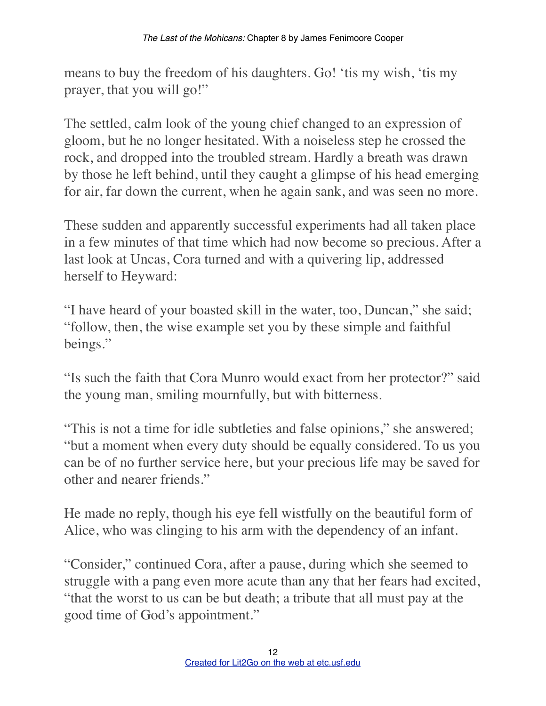means to buy the freedom of his daughters. Go! 'tis my wish, 'tis my prayer, that you will go!"

The settled, calm look of the young chief changed to an expression of gloom, but he no longer hesitated. With a noiseless step he crossed the rock, and dropped into the troubled stream. Hardly a breath was drawn by those he left behind, until they caught a glimpse of his head emerging for air, far down the current, when he again sank, and was seen no more.

These sudden and apparently successful experiments had all taken place in a few minutes of that time which had now become so precious. After a last look at Uncas, Cora turned and with a quivering lip, addressed herself to Heyward:

"I have heard of your boasted skill in the water, too, Duncan," she said; "follow, then, the wise example set you by these simple and faithful beings."

"Is such the faith that Cora Munro would exact from her protector?" said the young man, smiling mournfully, but with bitterness.

"This is not a time for idle subtleties and false opinions," she answered; "but a moment when every duty should be equally considered. To us you can be of no further service here, but your precious life may be saved for other and nearer friends."

He made no reply, though his eye fell wistfully on the beautiful form of Alice, who was clinging to his arm with the dependency of an infant.

"Consider," continued Cora, after a pause, during which she seemed to struggle with a pang even more acute than any that her fears had excited, "that the worst to us can be but death; a tribute that all must pay at the good time of God's appointment."